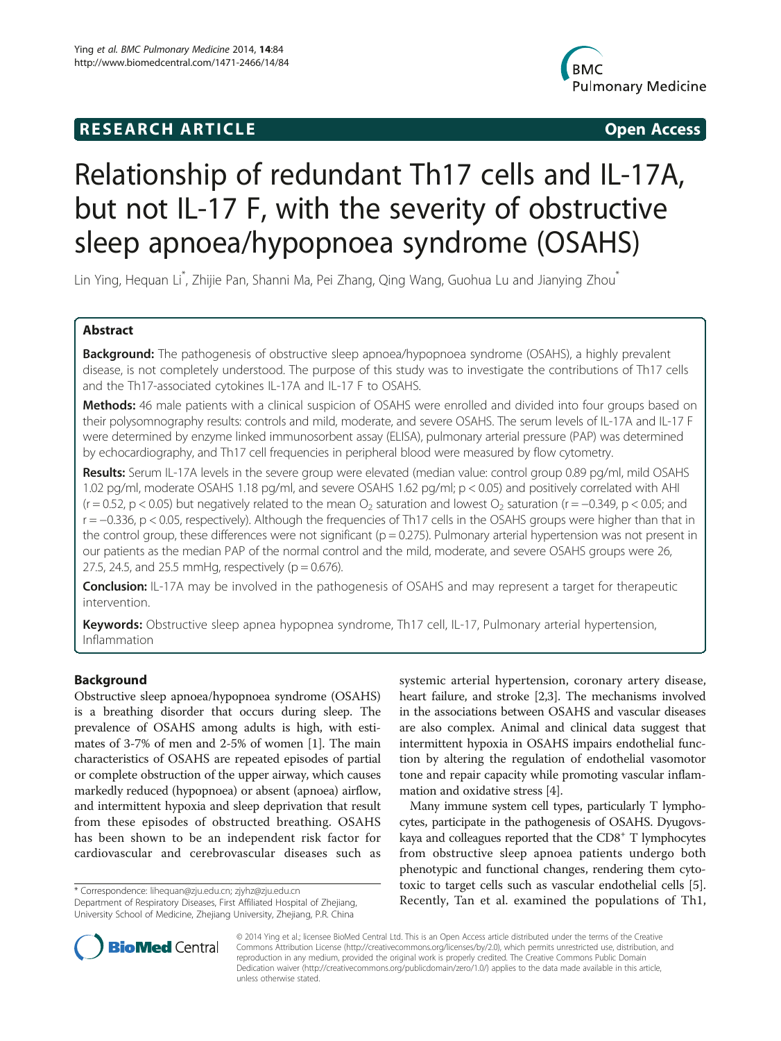## **RESEARCH ARTICLE Example 2014 CONSIDERING CONSIDERING CONSIDERING CONSIDERING CONSIDERING CONSIDERING CONSIDERING CONSIDERING CONSIDERING CONSIDERING CONSIDERING CONSIDERING CONSIDERING CONSIDERING CONSIDERING CONSIDE**



# Relationship of redundant Th17 cells and IL-17A, but not IL-17 F, with the severity of obstructive sleep apnoea/hypopnoea syndrome (OSAHS)

Lin Ying, Hequan Li $^*$ , Zhijie Pan, Shanni Ma, Pei Zhang, Qing Wang, Guohua Lu and Jianying Zhou $^*$ 

## Abstract

**Background:** The pathogenesis of obstructive sleep apnoea/hypopnoea syndrome (OSAHS), a highly prevalent disease, is not completely understood. The purpose of this study was to investigate the contributions of Th17 cells and the Th17-associated cytokines IL-17A and IL-17 F to OSAHS.

Methods: 46 male patients with a clinical suspicion of OSAHS were enrolled and divided into four groups based on their polysomnography results: controls and mild, moderate, and severe OSAHS. The serum levels of IL-17A and IL-17 F were determined by enzyme linked immunosorbent assay (ELISA), pulmonary arterial pressure (PAP) was determined by echocardiography, and Th17 cell frequencies in peripheral blood were measured by flow cytometry.

Results: Serum IL-17A levels in the severe group were elevated (median value: control group 0.89 pg/ml, mild OSAHS 1.02 pg/ml, moderate OSAHS 1.18 pg/ml, and severe OSAHS 1.62 pg/ml; p < 0.05) and positively correlated with AHI  $(r = 0.52, p < 0.05)$  but negatively related to the mean O<sub>2</sub> saturation and lowest O<sub>2</sub> saturation ( $r = -0.349, p < 0.05$ ; and r = −0.336, p < 0.05, respectively). Although the frequencies of Th17 cells in the OSAHS groups were higher than that in the control group, these differences were not significant ( $p = 0.275$ ). Pulmonary arterial hypertension was not present in our patients as the median PAP of the normal control and the mild, moderate, and severe OSAHS groups were 26, 27.5, 24.5, and 25.5 mmHg, respectively ( $p = 0.676$ ).

**Conclusion:** IL-17A may be involved in the pathogenesis of OSAHS and may represent a target for therapeutic intervention.

Keywords: Obstructive sleep apnea hypopnea syndrome, Th17 cell, IL-17, Pulmonary arterial hypertension, Inflammation

## Background

Obstructive sleep apnoea/hypopnoea syndrome (OSAHS) is a breathing disorder that occurs during sleep. The prevalence of OSAHS among adults is high, with estimates of 3-7% of men and 2-5% of women [[1\]](#page-6-0). The main characteristics of OSAHS are repeated episodes of partial or complete obstruction of the upper airway, which causes markedly reduced (hypopnoea) or absent (apnoea) airflow, and intermittent hypoxia and sleep deprivation that result from these episodes of obstructed breathing. OSAHS has been shown to be an independent risk factor for cardiovascular and cerebrovascular diseases such as

Department of Respiratory Diseases, First Affiliated Hospital of Zhejiang, University School of Medicine, Zhejiang University, Zhejiang, P.R. China

systemic arterial hypertension, coronary artery disease, heart failure, and stroke [[2,3](#page-6-0)]. The mechanisms involved in the associations between OSAHS and vascular diseases are also complex. Animal and clinical data suggest that intermittent hypoxia in OSAHS impairs endothelial function by altering the regulation of endothelial vasomotor tone and repair capacity while promoting vascular inflammation and oxidative stress [\[4](#page-6-0)].

Many immune system cell types, particularly T lymphocytes, participate in the pathogenesis of OSAHS. Dyugovskaya and colleagues reported that the  $CD8<sup>+</sup>$  T lymphocytes from obstructive sleep apnoea patients undergo both phenotypic and functional changes, rendering them cytotoxic to target cells such as vascular endothelial cells [[5](#page-6-0)]. Recently, Tan et al. examined the populations of Th1, Department of Respiratory Diseases, First Affiliated Hospital of Zhejiang,<br>Department of Respiratory Diseases, First Affiliated Hospital of Zhejiang, Recently, Tan et a



© 2014 Ying et al.; licensee BioMed Central Ltd. This is an Open Access article distributed under the terms of the Creative Commons Attribution License [\(http://creativecommons.org/licenses/by/2.0\)](http://creativecommons.org/licenses/by/2.0), which permits unrestricted use, distribution, and reproduction in any medium, provided the original work is properly credited. The Creative Commons Public Domain Dedication waiver [\(http://creativecommons.org/publicdomain/zero/1.0/](http://creativecommons.org/publicdomain/zero/1.0/)) applies to the data made available in this article, unless otherwise stated.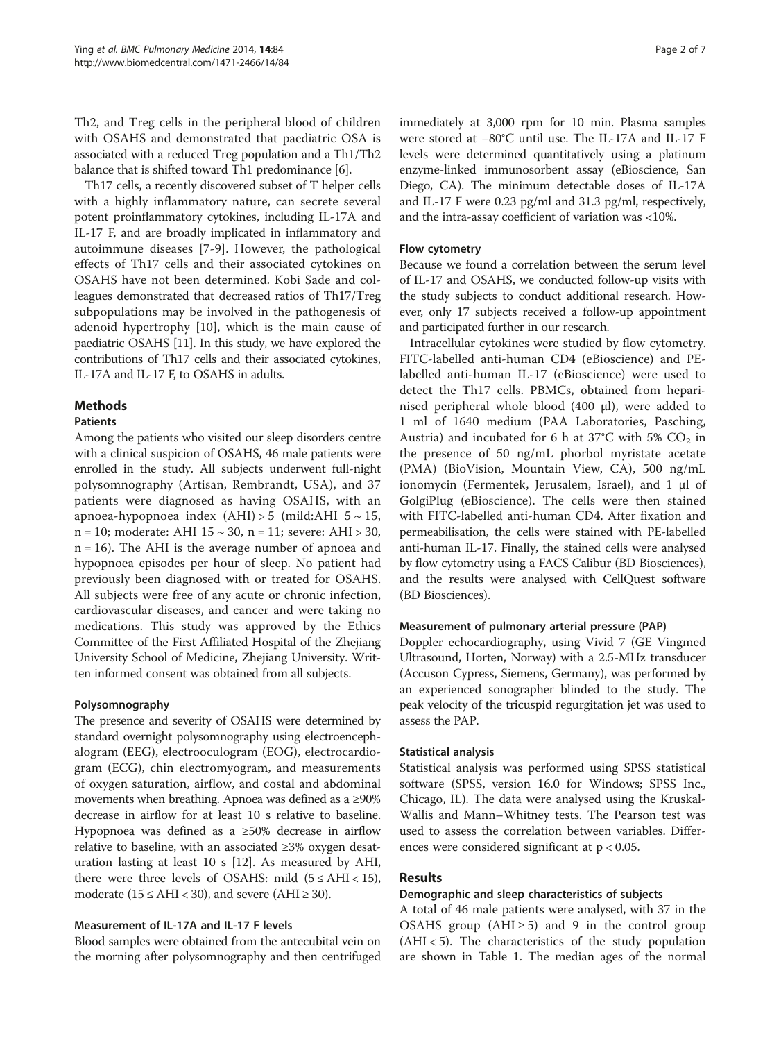Th2, and Treg cells in the peripheral blood of children with OSAHS and demonstrated that paediatric OSA is associated with a reduced Treg population and a Th1/Th2 balance that is shifted toward Th1 predominance [\[6](#page-6-0)].

Th17 cells, a recently discovered subset of T helper cells with a highly inflammatory nature, can secrete several potent proinflammatory cytokines, including IL-17A and IL-17 F, and are broadly implicated in inflammatory and autoimmune diseases [\[7](#page-6-0)-[9\]](#page-6-0). However, the pathological effects of Th17 cells and their associated cytokines on OSAHS have not been determined. Kobi Sade and colleagues demonstrated that decreased ratios of Th17/Treg subpopulations may be involved in the pathogenesis of adenoid hypertrophy [[10\]](#page-6-0), which is the main cause of paediatric OSAHS [\[11](#page-6-0)]. In this study, we have explored the contributions of Th17 cells and their associated cytokines, IL-17A and IL-17 F, to OSAHS in adults.

## Methods

#### **Patients**

Among the patients who visited our sleep disorders centre with a clinical suspicion of OSAHS, 46 male patients were enrolled in the study. All subjects underwent full-night polysomnography (Artisan, Rembrandt, USA), and 37 patients were diagnosed as having OSAHS, with an apnoea-hypopnoea index  $(AHI) > 5$  (mild:AHI  $5 \sim 15$ , n = 10; moderate: AHI 15 ~ 30, n = 11; severe: AHI > 30,  $n = 16$ ). The AHI is the average number of apnoea and hypopnoea episodes per hour of sleep. No patient had previously been diagnosed with or treated for OSAHS. All subjects were free of any acute or chronic infection, cardiovascular diseases, and cancer and were taking no medications. This study was approved by the Ethics Committee of the First Affiliated Hospital of the Zhejiang University School of Medicine, Zhejiang University. Written informed consent was obtained from all subjects.

## Polysomnography

The presence and severity of OSAHS were determined by standard overnight polysomnography using electroencephalogram (EEG), electrooculogram (EOG), electrocardiogram (ECG), chin electromyogram, and measurements of oxygen saturation, airflow, and costal and abdominal movements when breathing. Apnoea was defined as a ≥90% decrease in airflow for at least 10 s relative to baseline. Hypopnoea was defined as a ≥50% decrease in airflow relative to baseline, with an associated ≥3% oxygen desaturation lasting at least 10 s [[12](#page-6-0)]. As measured by AHI, there were three levels of OSAHS: mild  $(5 \leq AHI < 15)$ , moderate ( $15 \leq AHI < 30$ ), and severe ( $AHI \geq 30$ ).

## Measurement of IL-17A and IL-17 F levels

Blood samples were obtained from the antecubital vein on the morning after polysomnography and then centrifuged immediately at 3,000 rpm for 10 min. Plasma samples were stored at −80°C until use. The IL-17A and IL-17 F levels were determined quantitatively using a platinum enzyme-linked immunosorbent assay (eBioscience, San Diego, CA). The minimum detectable doses of IL-17A and IL-17 F were 0.23 pg/ml and 31.3 pg/ml, respectively, and the intra-assay coefficient of variation was <10%.

#### Flow cytometry

Because we found a correlation between the serum level of IL-17 and OSAHS, we conducted follow-up visits with the study subjects to conduct additional research. However, only 17 subjects received a follow-up appointment and participated further in our research.

Intracellular cytokines were studied by flow cytometry. FITC-labelled anti-human CD4 (eBioscience) and PElabelled anti-human IL-17 (eBioscience) were used to detect the Th17 cells. PBMCs, obtained from heparinised peripheral whole blood (400 μl), were added to 1 ml of 1640 medium (PAA Laboratories, Pasching, Austria) and incubated for 6 h at 37°C with 5%  $CO<sub>2</sub>$  in the presence of 50 ng/mL phorbol myristate acetate (PMA) (BioVision, Mountain View, CA), 500 ng/mL ionomycin (Fermentek, Jerusalem, Israel), and 1 μl of GolgiPlug (eBioscience). The cells were then stained with FITC-labelled anti-human CD4. After fixation and permeabilisation, the cells were stained with PE-labelled anti-human IL-17. Finally, the stained cells were analysed by flow cytometry using a FACS Calibur (BD Biosciences), and the results were analysed with CellQuest software (BD Biosciences).

## Measurement of pulmonary arterial pressure (PAP)

Doppler echocardiography, using Vivid 7 (GE Vingmed Ultrasound, Horten, Norway) with a 2.5-MHz transducer (Accuson Cypress, Siemens, Germany), was performed by an experienced sonographer blinded to the study. The peak velocity of the tricuspid regurgitation jet was used to assess the PAP.

#### Statistical analysis

Statistical analysis was performed using SPSS statistical software (SPSS, version 16.0 for Windows; SPSS Inc., Chicago, IL). The data were analysed using the Kruskal-Wallis and Mann–Whitney tests. The Pearson test was used to assess the correlation between variables. Differences were considered significant at p < 0.05.

## Results

#### Demographic and sleep characteristics of subjects

A total of 46 male patients were analysed, with 37 in the OSAHS group (AHI  $\geq$  5) and 9 in the control group  $(AHI < 5)$ . The characteristics of the study population are shown in Table [1](#page-2-0). The median ages of the normal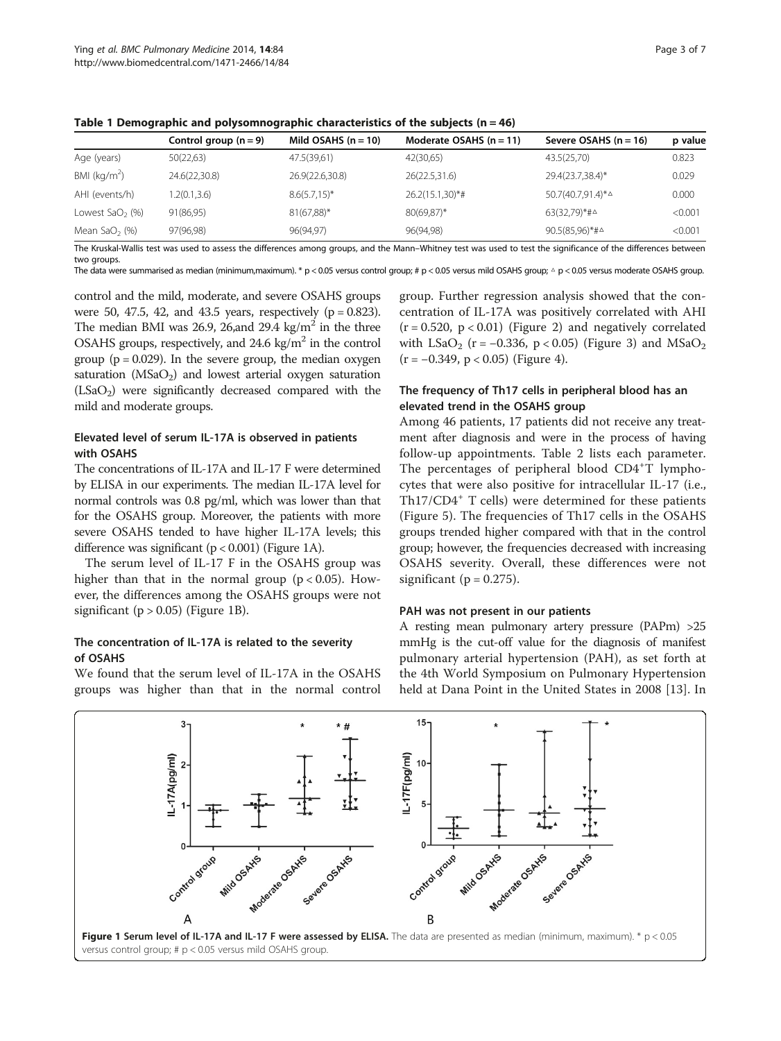|                                | Control group $(n = 9)$ | Mild OSAHS $(n = 10)$ | Moderate OSAHS $(n = 11)$ | Severe OSAHS $(n = 16)$                                 | p value |
|--------------------------------|-------------------------|-----------------------|---------------------------|---------------------------------------------------------|---------|
| Age (years)                    | 50(22,63)               | 47.5(39,61)           | 42(30,65)                 | 43.5(25,70)                                             | 0.823   |
| BMI ( $kg/m2$ )                | 24.6(22,30.8)           | 26.9(22.6,30.8)       | 26(22.5,31.6)             | 29.4(23.7,38.4)*                                        | 0.029   |
| AHI (events/h)                 | 1.2(0.1, 3.6)           | $8.6(5.7,15)^*$       | $26.2(15.1,30)$ *#        | $50.7(40.7.91.4)^{*}$ <sup><math>\triangle</math></sup> | 0.000   |
| Lowest SaO <sub>2</sub> $(\%)$ | 91(86,95)               | 81(67,88)*            | 80(69,87)*                | 63(32,79)*#4                                            | < 0.001 |
| Mean SaO <sub>2</sub> $(\%)$   | 97(96,98)               | 96(94,97)             | 96(94,98)                 | $90.5(85.96)$ *# $\triangle$                            | < 0.001 |

<span id="page-2-0"></span>Table 1 Demographic and polysomnographic characteristics of the subjects ( $n = 46$ )

The Kruskal-Wallis test was used to assess the differences among groups, and the Mann–Whitney test was used to test the significance of the differences between two groups

The data were summarised as median (minimum,maximum). \* p < 0.05 versus control group; # p < 0.05 versus mild OSAHS group;  $\Delta$  p < 0.05 versus moderate OSAHS group.

control and the mild, moderate, and severe OSAHS groups were 50, 47.5, 42, and 43.5 years, respectively  $(p = 0.823)$ . The median BMI was 26.9, 26, and 29.4 kg/m<sup>2</sup> in the three OSAHS groups, respectively, and 24.6 kg/ $m^2$  in the control group ( $p = 0.029$ ). In the severe group, the median oxygen saturation  $(MSaO<sub>2</sub>)$  and lowest arterial oxygen saturation  $(LSaO<sub>2</sub>)$  were significantly decreased compared with the mild and moderate groups.

## Elevated level of serum IL-17A is observed in patients with OSAHS

The concentrations of IL-17A and IL-17 F were determined by ELISA in our experiments. The median IL-17A level for normal controls was 0.8 pg/ml, which was lower than that for the OSAHS group. Moreover, the patients with more severe OSAHS tended to have higher IL-17A levels; this difference was significant  $(p < 0.001)$  (Figure 1A).

The serum level of IL-17 F in the OSAHS group was higher than that in the normal group  $(p < 0.05)$ . However, the differences among the OSAHS groups were not significant ( $p > 0.05$ ) (Figure 1B).

## The concentration of IL-17A is related to the severity of OSAHS

We found that the serum level of IL-17A in the OSAHS groups was higher than that in the normal control

group. Further regression analysis showed that the concentration of IL-17A was positively correlated with AHI  $(r = 0.520, p < 0.01)$  (Figure [2](#page-3-0)) and negatively correlated with  $LSaO<sub>2</sub>$  (r = -0.336, p < 0.05) (Figure [3\)](#page-3-0) and  $MSaO<sub>2</sub>$  $(r = -0.349, p < 0.05)$  (Figure [4\)](#page-4-0).

## The frequency of Th17 cells in peripheral blood has an elevated trend in the OSAHS group

Among 46 patients, 17 patients did not receive any treatment after diagnosis and were in the process of having follow-up appointments. Table [2](#page-4-0) lists each parameter. The percentages of peripheral blood CD4<sup>+</sup>T lymphocytes that were also positive for intracellular IL-17 (i.e., Th17/CD4<sup>+</sup> T cells) were determined for these patients (Figure [5](#page-5-0)). The frequencies of Th17 cells in the OSAHS groups trended higher compared with that in the control group; however, the frequencies decreased with increasing OSAHS severity. Overall, these differences were not significant ( $p = 0.275$ ).

## PAH was not present in our patients

A resting mean pulmonary artery pressure (PAPm) >25 mmHg is the cut-off value for the diagnosis of manifest pulmonary arterial hypertension (PAH), as set forth at the 4th World Symposium on Pulmonary Hypertension held at Dana Point in the United States in 2008 [\[13](#page-6-0)]. In

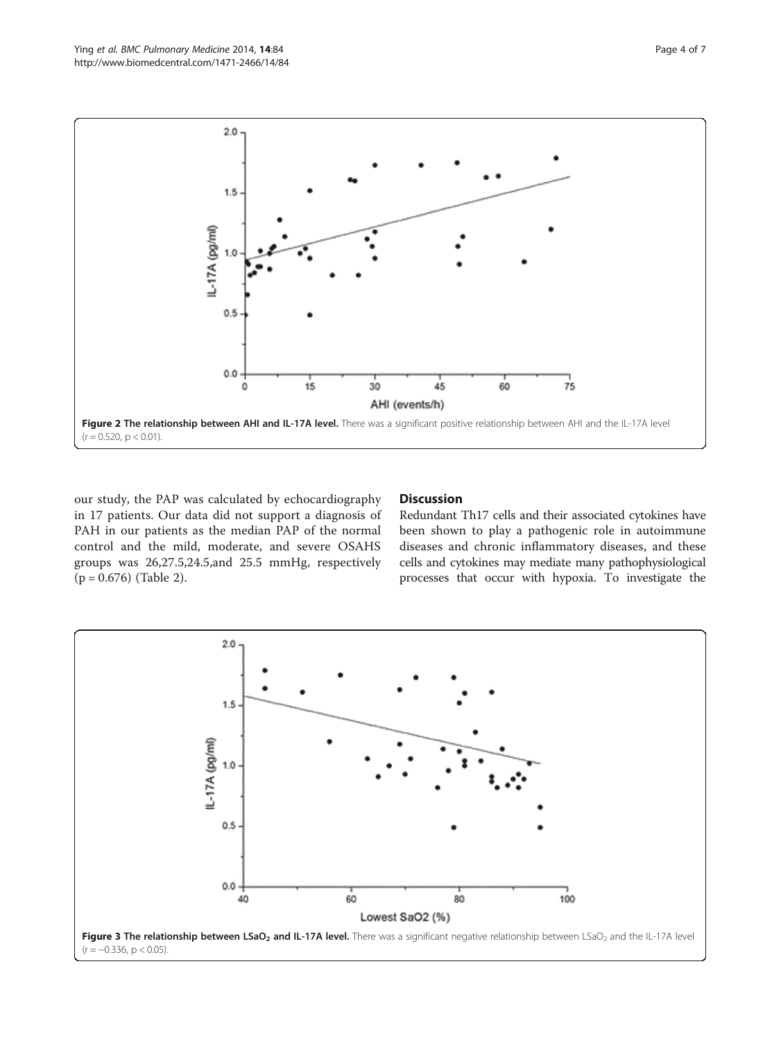<span id="page-3-0"></span>

our study, the PAP was calculated by echocardiography in 17 patients. Our data did not support a diagnosis of PAH in our patients as the median PAP of the normal control and the mild, moderate, and severe OSAHS groups was 26,27.5,24.5,and 25.5 mmHg, respectively  $(p = 0.676)$  (Table [2](#page-4-0)).

## **Discussion**

Redundant Th17 cells and their associated cytokines have been shown to play a pathogenic role in autoimmune diseases and chronic inflammatory diseases, and these cells and cytokines may mediate many pathophysiological processes that occur with hypoxia. To investigate the

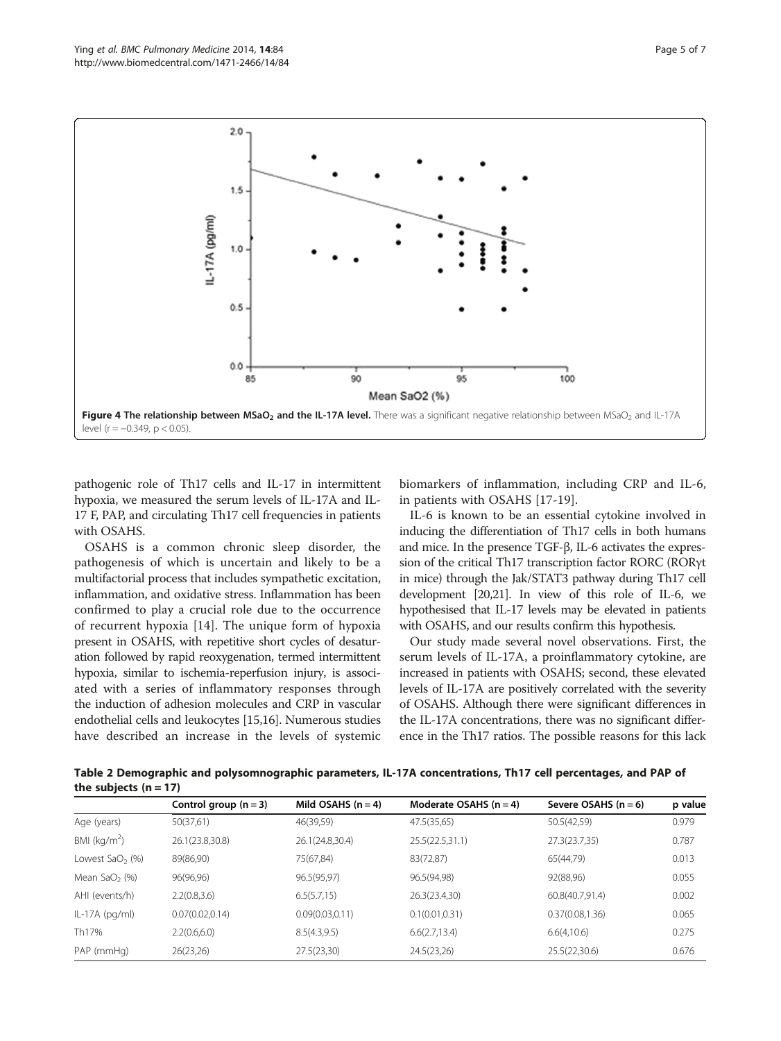<span id="page-4-0"></span>

pathogenic role of Th17 cells and IL-17 in intermittent hypoxia, we measured the serum levels of IL-17A and IL-17 F, PAP, and circulating Th17 cell frequencies in patients with OSAHS.

OSAHS is a common chronic sleep disorder, the pathogenesis of which is uncertain and likely to be a multifactorial process that includes sympathetic excitation, inflammation, and oxidative stress. Inflammation has been confirmed to play a crucial role due to the occurrence of recurrent hypoxia [[14\]](#page-6-0). The unique form of hypoxia present in OSAHS, with repetitive short cycles of desaturation followed by rapid reoxygenation, termed intermittent hypoxia, similar to ischemia-reperfusion injury, is associated with a series of inflammatory responses through the induction of adhesion molecules and CRP in vascular endothelial cells and leukocytes [\[15,16\]](#page-6-0). Numerous studies have described an increase in the levels of systemic

biomarkers of inflammation, including CRP and IL-6, in patients with OSAHS [[17-19](#page-6-0)].

IL-6 is known to be an essential cytokine involved in inducing the differentiation of Th17 cells in both humans and mice. In the presence TGF-β, IL-6 activates the expression of the critical Th17 transcription factor RORC (RORγt in mice) through the Jak/STAT3 pathway during Th17 cell development [\[20,21](#page-6-0)]. In view of this role of IL-6, we hypothesised that IL-17 levels may be elevated in patients with OSAHS, and our results confirm this hypothesis.

Our study made several novel observations. First, the serum levels of IL-17A, a proinflammatory cytokine, are increased in patients with OSAHS; second, these elevated levels of IL-17A are positively correlated with the severity of OSAHS. Although there were significant differences in the IL-17A concentrations, there was no significant difference in the Th17 ratios. The possible reasons for this lack

Table 2 Demographic and polysomnographic parameters, IL-17A concentrations, Th17 cell percentages, and PAP of the subjects  $(n = 17)$ 

|                                | Control group $(n = 3)$ | Mild OSAHS $(n = 4)$ | Moderate OSAHS $(n = 4)$ | Severe OSAHS $(n = 6)$ | p value |  |  |  |
|--------------------------------|-------------------------|----------------------|--------------------------|------------------------|---------|--|--|--|
| Age (years)                    | 50(37,61)               | 46(39,59)            | 47.5(35,65)              | 50.5(42,59)            | 0.979   |  |  |  |
| BMI ( $kg/m2$ )                | 26.1(23.8,30.8)         | 26.1(24.8,30.4)      | 25.5(22.5,31.1)          | 27.3(23.7,35)          | 0.787   |  |  |  |
| Lowest SaO <sub>2</sub> $(\%)$ | 89(86,90)               | 75(67,84)            | 83(72,87)                | 65(44,79)              | 0.013   |  |  |  |
| Mean $SaO2$ (%)                | 96(96,96)               | 96.5(95,97)          | 96.5(94,98)              | 92(88,96)              | 0.055   |  |  |  |
| AHI (events/h)                 | 2.2(0.8, 3.6)           | 6.5(5.7,15)          | 26.3(23.4,30)            | 60.8(40.7,91.4)        | 0.002   |  |  |  |
| $IL-17A$ ( $pq/ml$ )           | 0.07(0.02, 0.14)        | 0.09(0.03, 0.11)     | 0.1(0.01, 0.31)          | 0.37(0.08, 1.36)       | 0.065   |  |  |  |
| Th <sub>17%</sub>              | 2.2(0.6,6.0)            | 8.5(4.3,9.5)         | 6.6(2.7, 13.4)           | 6.6(4,10.6)            | 0.275   |  |  |  |
| PAP (mmHg)                     | 26(23,26)               | 27.5(23,30)          | 24.5(23,26)              | 25.5(22,30.6)          | 0.676   |  |  |  |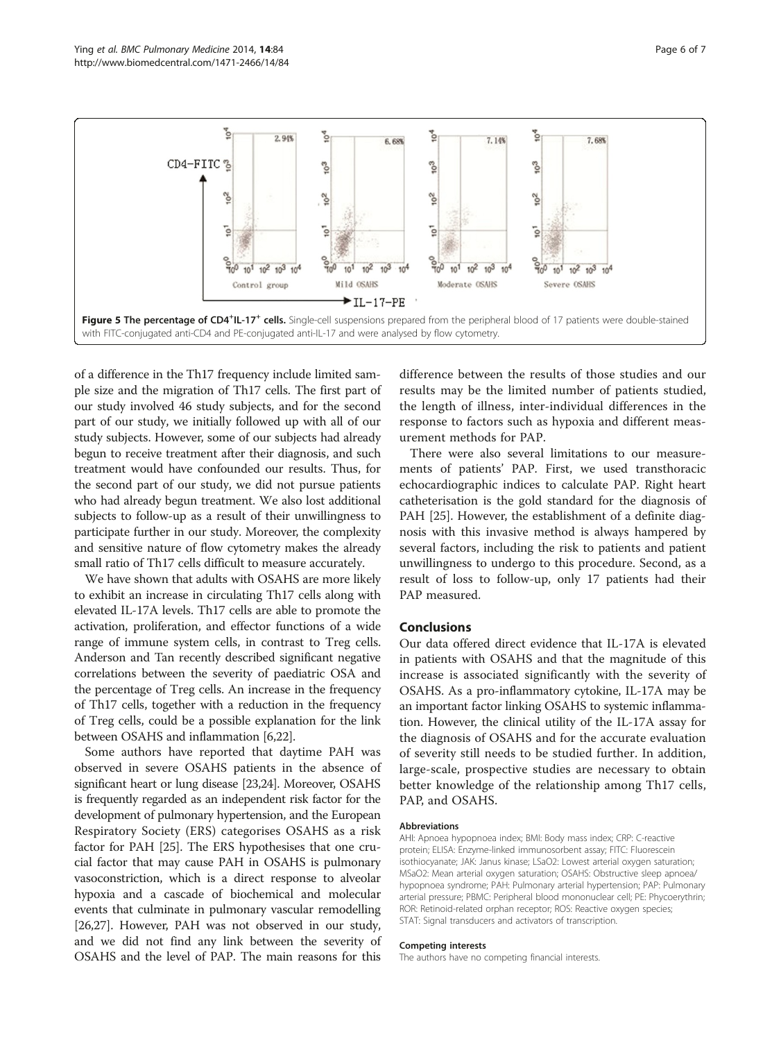<span id="page-5-0"></span>

of a difference in the Th17 frequency include limited sample size and the migration of Th17 cells. The first part of our study involved 46 study subjects, and for the second part of our study, we initially followed up with all of our study subjects. However, some of our subjects had already begun to receive treatment after their diagnosis, and such treatment would have confounded our results. Thus, for the second part of our study, we did not pursue patients who had already begun treatment. We also lost additional subjects to follow-up as a result of their unwillingness to participate further in our study. Moreover, the complexity and sensitive nature of flow cytometry makes the already small ratio of Th17 cells difficult to measure accurately.

We have shown that adults with OSAHS are more likely to exhibit an increase in circulating Th17 cells along with elevated IL-17A levels. Th17 cells are able to promote the activation, proliferation, and effector functions of a wide range of immune system cells, in contrast to Treg cells. Anderson and Tan recently described significant negative correlations between the severity of paediatric OSA and the percentage of Treg cells. An increase in the frequency of Th17 cells, together with a reduction in the frequency of Treg cells, could be a possible explanation for the link between OSAHS and inflammation [[6,22](#page-6-0)].

Some authors have reported that daytime PAH was observed in severe OSAHS patients in the absence of significant heart or lung disease [[23,24](#page-6-0)]. Moreover, OSAHS is frequently regarded as an independent risk factor for the development of pulmonary hypertension, and the European Respiratory Society (ERS) categorises OSAHS as a risk factor for PAH [\[25](#page-6-0)]. The ERS hypothesises that one crucial factor that may cause PAH in OSAHS is pulmonary vasoconstriction, which is a direct response to alveolar hypoxia and a cascade of biochemical and molecular events that culminate in pulmonary vascular remodelling [[26,27](#page-6-0)]. However, PAH was not observed in our study, and we did not find any link between the severity of OSAHS and the level of PAP. The main reasons for this

difference between the results of those studies and our results may be the limited number of patients studied, the length of illness, inter-individual differences in the response to factors such as hypoxia and different measurement methods for PAP.

There were also several limitations to our measurements of patients' PAP. First, we used transthoracic echocardiographic indices to calculate PAP. Right heart catheterisation is the gold standard for the diagnosis of PAH [[25](#page-6-0)]. However, the establishment of a definite diagnosis with this invasive method is always hampered by several factors, including the risk to patients and patient unwillingness to undergo to this procedure. Second, as a result of loss to follow-up, only 17 patients had their PAP measured.

#### Conclusions

Our data offered direct evidence that IL-17A is elevated in patients with OSAHS and that the magnitude of this increase is associated significantly with the severity of OSAHS. As a pro-inflammatory cytokine, IL-17A may be an important factor linking OSAHS to systemic inflammation. However, the clinical utility of the IL-17A assay for the diagnosis of OSAHS and for the accurate evaluation of severity still needs to be studied further. In addition, large-scale, prospective studies are necessary to obtain better knowledge of the relationship among Th17 cells, PAP, and OSAHS.

#### Abbreviations

AHI: Apnoea hypopnoea index; BMI: Body mass index; CRP: C-reactive protein; ELISA: Enzyme-linked immunosorbent assay; FITC: Fluorescein isothiocyanate; JAK: Janus kinase; LSaO2: Lowest arterial oxygen saturation; MSaO2: Mean arterial oxygen saturation; OSAHS: Obstructive sleep apnoea/ hypopnoea syndrome; PAH: Pulmonary arterial hypertension; PAP: Pulmonary arterial pressure; PBMC: Peripheral blood mononuclear cell; PE: Phycoerythrin; ROR: Retinoid-related orphan receptor; ROS: Reactive oxygen species; STAT: Signal transducers and activators of transcription.

#### Competing interests

The authors have no competing financial interests.